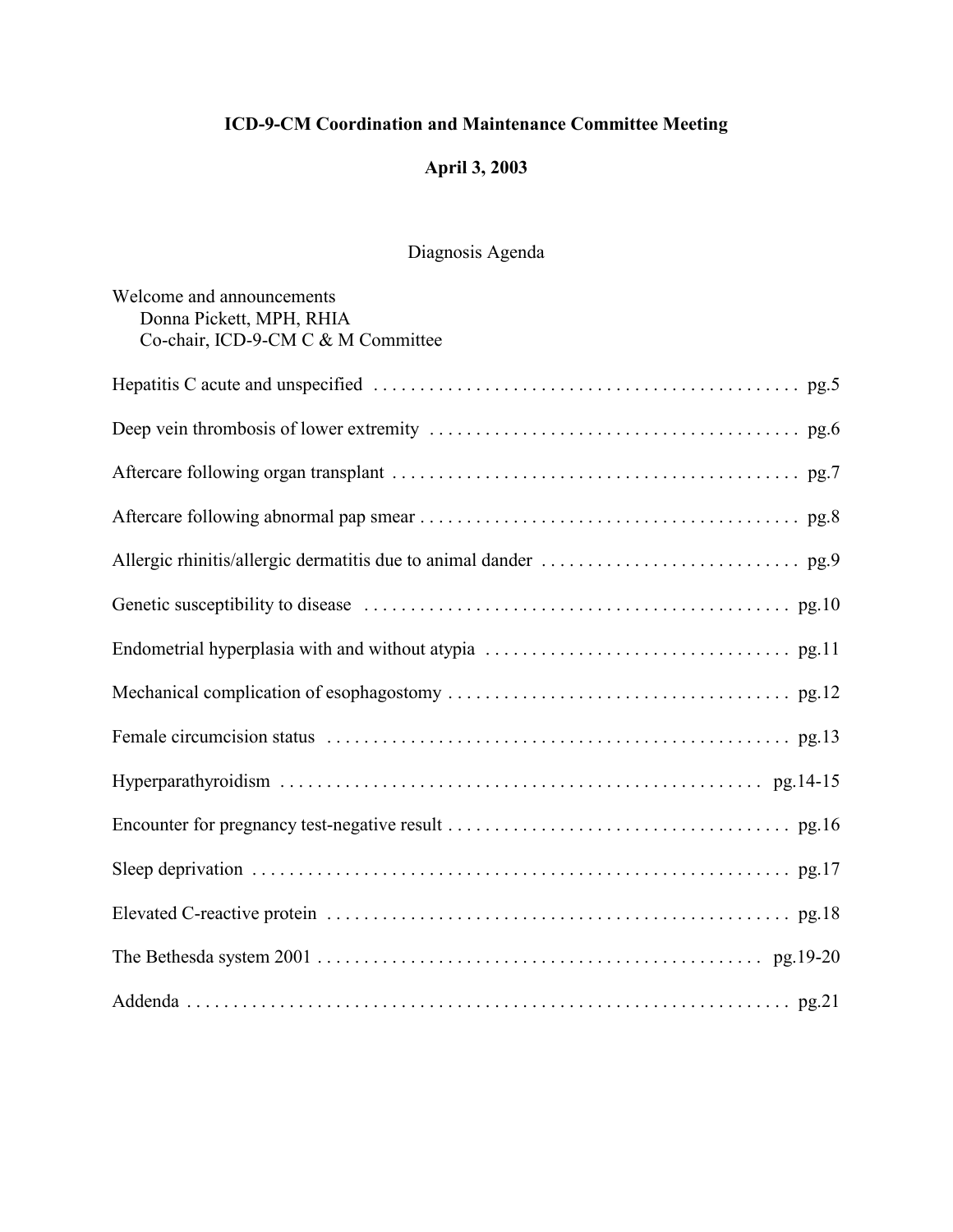# **April 3, 2003**

# Diagnosis Agenda

| Welcome and announcements<br>Donna Pickett, MPH, RHIA<br>Co-chair, ICD-9-CM C & M Committee |
|---------------------------------------------------------------------------------------------|
|                                                                                             |
|                                                                                             |
|                                                                                             |
|                                                                                             |
|                                                                                             |
|                                                                                             |
|                                                                                             |
|                                                                                             |
|                                                                                             |
|                                                                                             |
|                                                                                             |
|                                                                                             |
|                                                                                             |
|                                                                                             |
|                                                                                             |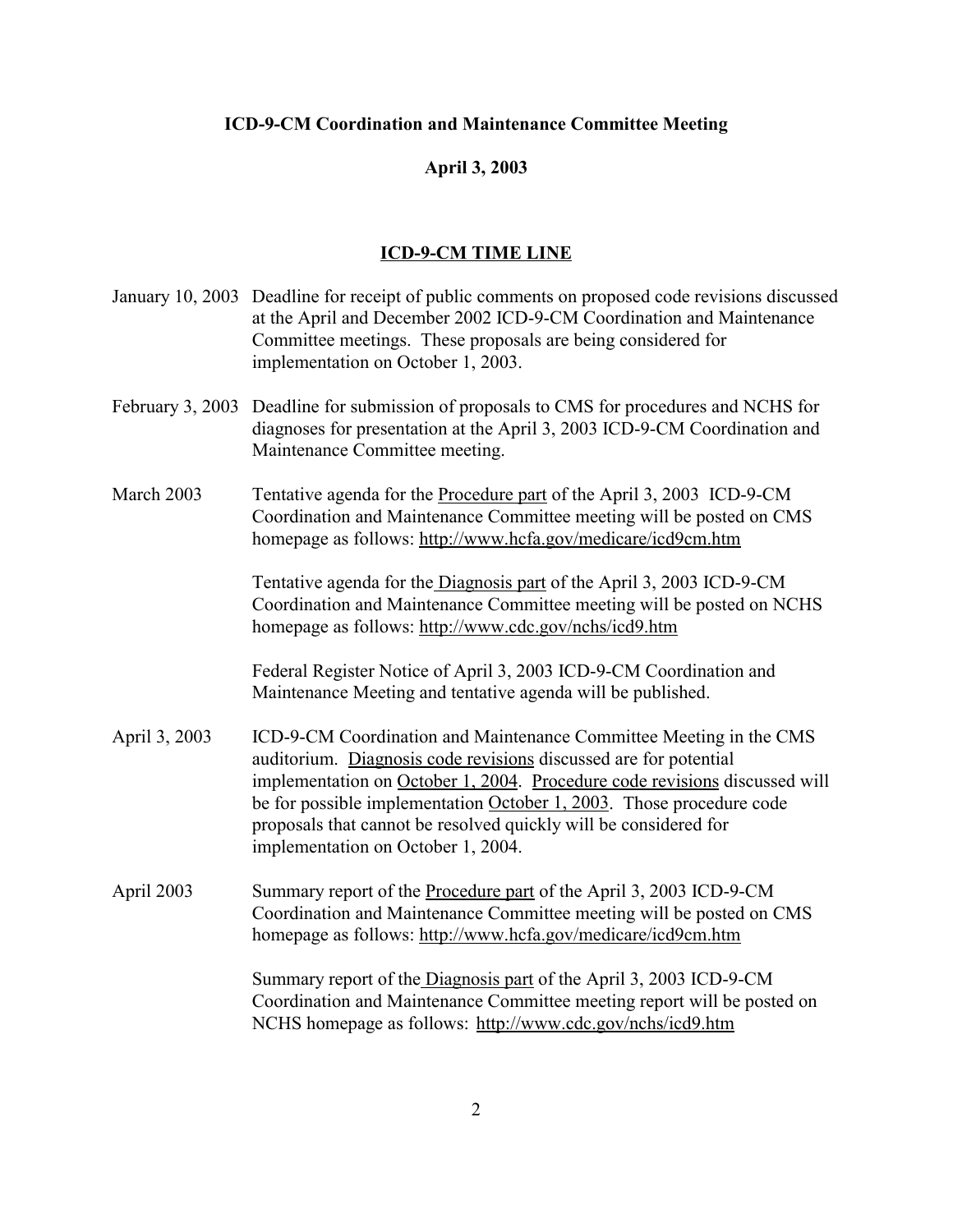# **April 3, 2003**

# **ICD-9-CM TIME LINE**

|               | January 10, 2003 Deadline for receipt of public comments on proposed code revisions discussed<br>at the April and December 2002 ICD-9-CM Coordination and Maintenance<br>Committee meetings. These proposals are being considered for<br>implementation on October 1, 2003.                                                                                                                            |
|---------------|--------------------------------------------------------------------------------------------------------------------------------------------------------------------------------------------------------------------------------------------------------------------------------------------------------------------------------------------------------------------------------------------------------|
|               | February 3, 2003 Deadline for submission of proposals to CMS for procedures and NCHS for<br>diagnoses for presentation at the April 3, 2003 ICD-9-CM Coordination and<br>Maintenance Committee meeting.                                                                                                                                                                                                |
| March 2003    | Tentative agenda for the Procedure part of the April 3, 2003 ICD-9-CM<br>Coordination and Maintenance Committee meeting will be posted on CMS<br>homepage as follows: http://www.hcfa.gov/medicare/icd9cm.htm                                                                                                                                                                                          |
|               | Tentative agenda for the Diagnosis part of the April 3, 2003 ICD-9-CM<br>Coordination and Maintenance Committee meeting will be posted on NCHS<br>homepage as follows: http://www.cdc.gov/nchs/icd9.htm                                                                                                                                                                                                |
|               | Federal Register Notice of April 3, 2003 ICD-9-CM Coordination and<br>Maintenance Meeting and tentative agenda will be published.                                                                                                                                                                                                                                                                      |
| April 3, 2003 | ICD-9-CM Coordination and Maintenance Committee Meeting in the CMS<br>auditorium. Diagnosis code revisions discussed are for potential<br>implementation on October 1, 2004. Procedure code revisions discussed will<br>be for possible implementation October 1, 2003. Those procedure code<br>proposals that cannot be resolved quickly will be considered for<br>implementation on October 1, 2004. |
| April 2003    | Summary report of the Procedure part of the April 3, 2003 ICD-9-CM<br>Coordination and Maintenance Committee meeting will be posted on CMS<br>homepage as follows: http://www.hcfa.gov/medicare/icd9cm.htm                                                                                                                                                                                             |
|               | Summary report of the Diagnosis part of the April 3, 2003 ICD-9-CM<br>Coordination and Maintenance Committee meeting report will be posted on<br>NCHS homepage as follows: http://www.cdc.gov/nchs/icd9.htm                                                                                                                                                                                            |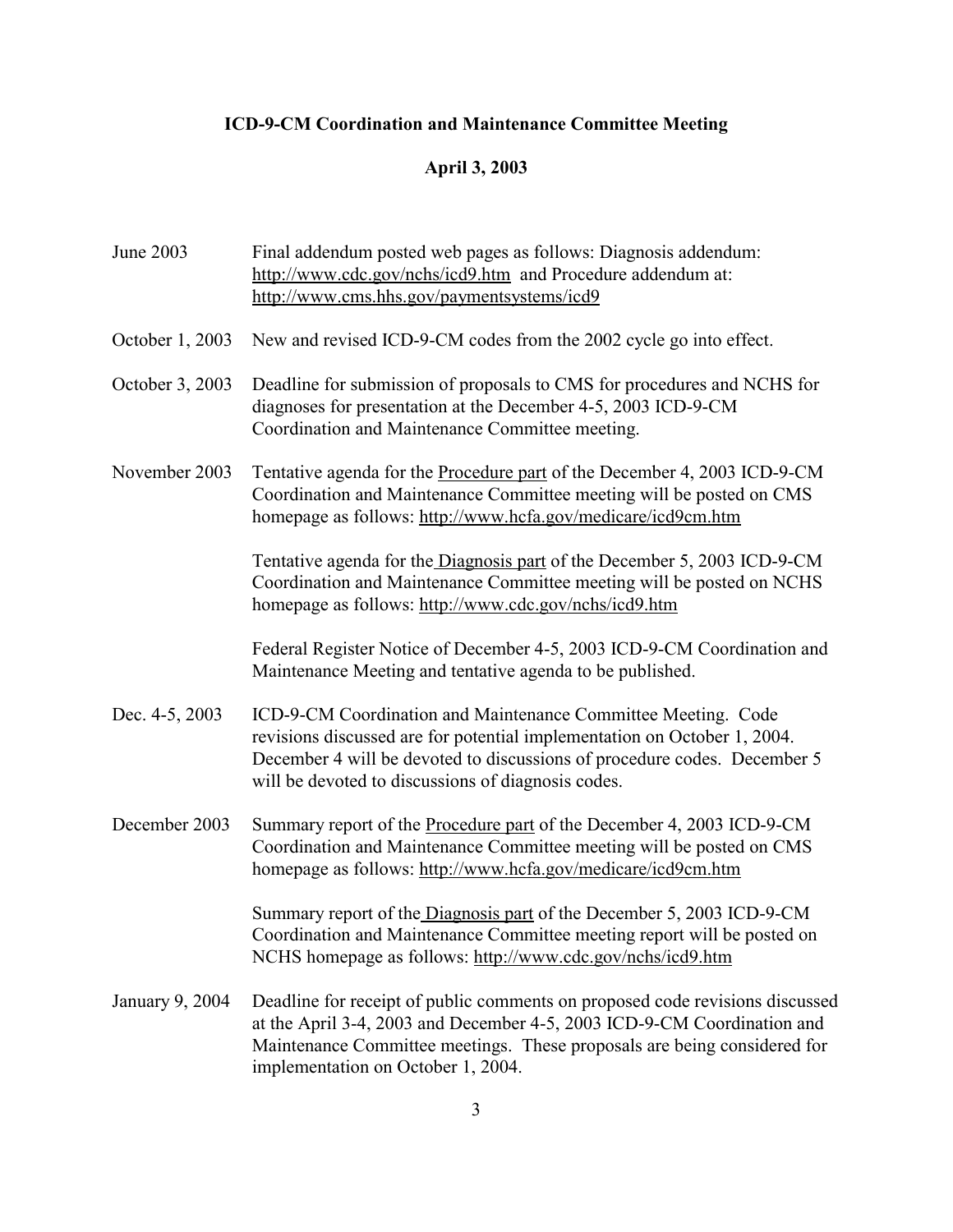# **April 3, 2003**

| June 2003       | Final addendum posted web pages as follows: Diagnosis addendum:<br>http://www.cdc.gov/nchs/icd9.htm and Procedure addendum at:<br>http://www.cms.hhs.gov/paymentsystems/icd9                                                                                                |
|-----------------|-----------------------------------------------------------------------------------------------------------------------------------------------------------------------------------------------------------------------------------------------------------------------------|
| October 1, 2003 | New and revised ICD-9-CM codes from the 2002 cycle go into effect.                                                                                                                                                                                                          |
| October 3, 2003 | Deadline for submission of proposals to CMS for procedures and NCHS for<br>diagnoses for presentation at the December 4-5, 2003 ICD-9-CM<br>Coordination and Maintenance Committee meeting.                                                                                 |
| November 2003   | Tentative agenda for the Procedure part of the December 4, 2003 ICD-9-CM<br>Coordination and Maintenance Committee meeting will be posted on CMS<br>homepage as follows: http://www.hcfa.gov/medicare/icd9cm.htm                                                            |
|                 | Tentative agenda for the Diagnosis part of the December 5, 2003 ICD-9-CM<br>Coordination and Maintenance Committee meeting will be posted on NCHS<br>homepage as follows: http://www.cdc.gov/nchs/icd9.htm                                                                  |
|                 | Federal Register Notice of December 4-5, 2003 ICD-9-CM Coordination and<br>Maintenance Meeting and tentative agenda to be published.                                                                                                                                        |
| Dec. 4-5, 2003  | ICD-9-CM Coordination and Maintenance Committee Meeting. Code<br>revisions discussed are for potential implementation on October 1, 2004.<br>December 4 will be devoted to discussions of procedure codes. December 5<br>will be devoted to discussions of diagnosis codes. |
| December 2003   | Summary report of the Procedure part of the December 4, 2003 ICD-9-CM<br>Coordination and Maintenance Committee meeting will be posted on CMS<br>homepage as follows: http://www.hcfa.gov/medicare/icd9cm.htm                                                               |
|                 | Summary report of the Diagnosis part of the December 5, 2003 ICD-9-CM<br>Coordination and Maintenance Committee meeting report will be posted on<br>NCHS homepage as follows: http://www.cdc.gov/nchs/icd9.htm                                                              |
| January 9, 2004 | Deadline for receipt of public comments on proposed code revisions discussed<br>at the April 3-4, 2003 and December 4-5, 2003 ICD-9-CM Coordination and<br>Maintenance Committee meetings. These proposals are being considered for<br>implementation on October 1, 2004.   |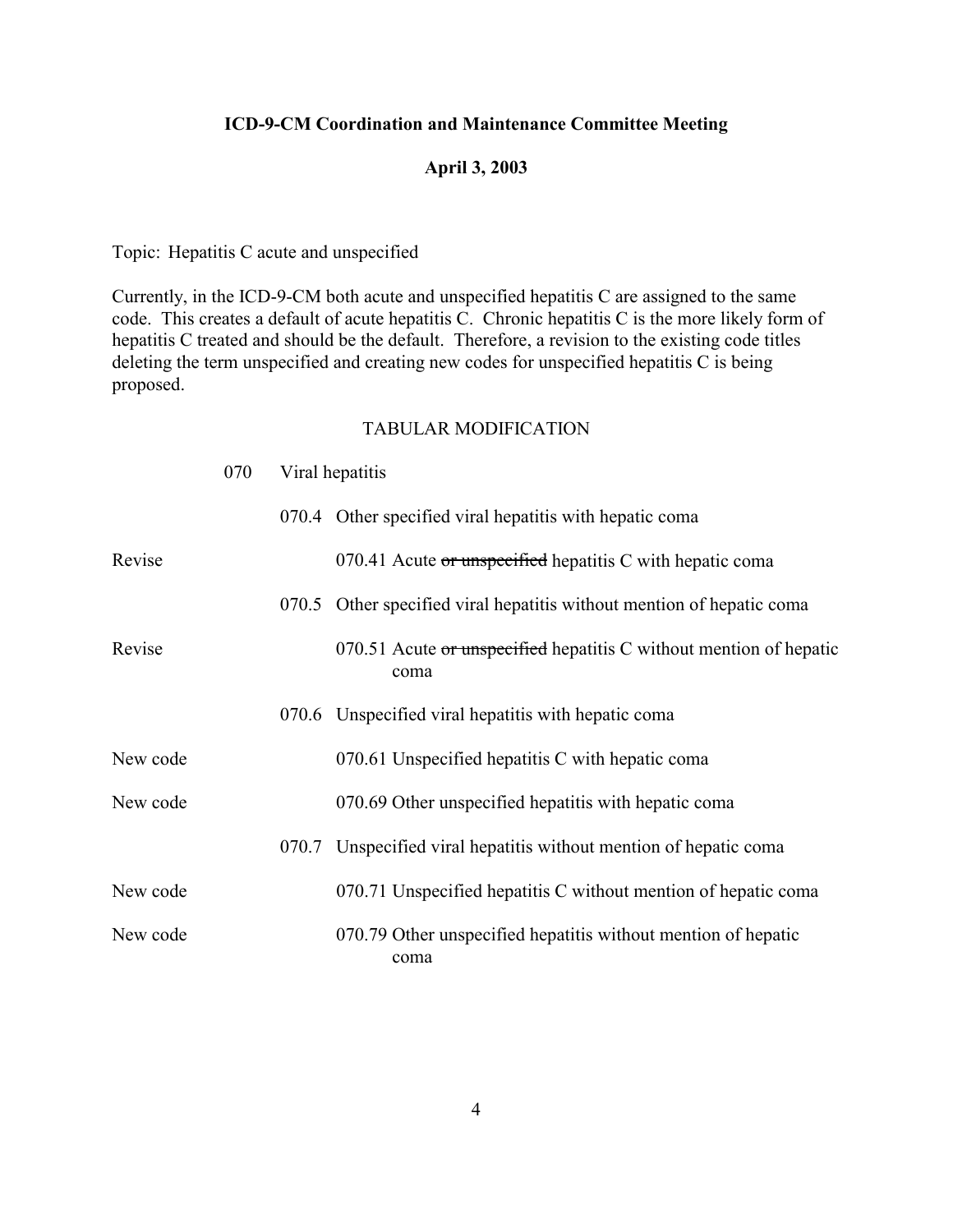#### **April 3, 2003**

Topic: Hepatitis C acute and unspecified

Currently, in the ICD-9-CM both acute and unspecified hepatitis C are assigned to the same code. This creates a default of acute hepatitis C. Chronic hepatitis C is the more likely form of hepatitis C treated and should be the default. Therefore, a revision to the existing code titles deleting the term unspecified and creating new codes for unspecified hepatitis C is being proposed.

|          | 070 |       | Viral hepatitis                                                            |
|----------|-----|-------|----------------------------------------------------------------------------|
|          |     |       | 070.4 Other specified viral hepatitis with hepatic coma                    |
| Revise   |     |       | 070.41 Acute or unspecified hepatitis C with hepatic coma                  |
|          |     |       | 070.5 Other specified viral hepatitis without mention of hepatic coma      |
| Revise   |     |       | 070.51 Acute or unspecified hepatitis C without mention of hepatic<br>coma |
|          |     |       | 070.6 Unspecified viral hepatitis with hepatic coma                        |
| New code |     |       | 070.61 Unspecified hepatitis C with hepatic coma                           |
| New code |     |       | 070.69 Other unspecified hepatitis with hepatic coma                       |
|          |     | 070.7 | Unspecified viral hepatitis without mention of hepatic coma                |
| New code |     |       | 070.71 Unspecified hepatitis C without mention of hepatic coma             |
| New code |     |       | 070.79 Other unspecified hepatitis without mention of hepatic<br>coma      |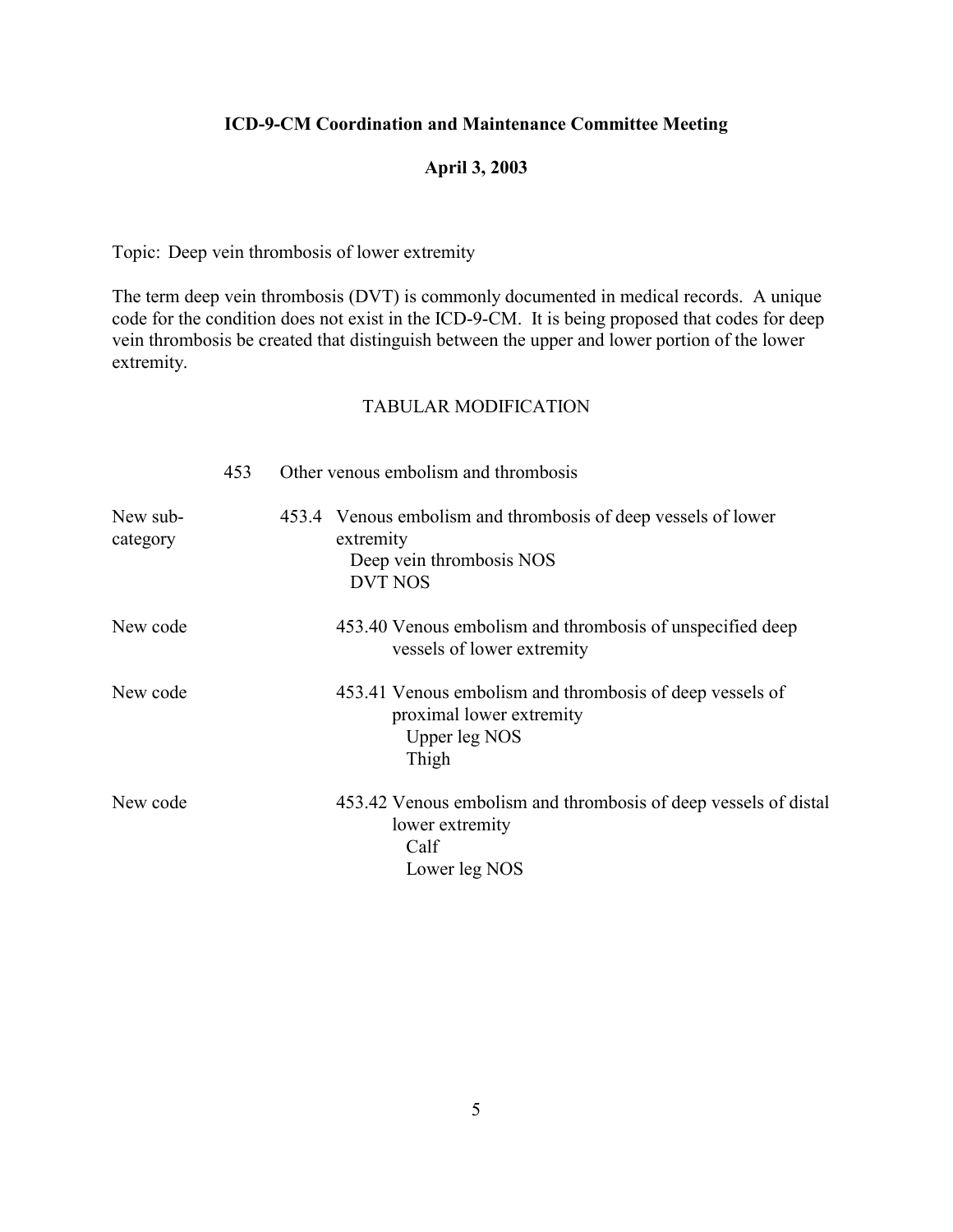# **April 3, 2003**

Topic: Deep vein thrombosis of lower extremity

The term deep vein thrombosis (DVT) is commonly documented in medical records. A unique code for the condition does not exist in the ICD-9-CM. It is being proposed that codes for deep vein thrombosis be created that distinguish between the upper and lower portion of the lower extremity.

|                      | 453 | Other venous embolism and thrombosis                                                                                        |
|----------------------|-----|-----------------------------------------------------------------------------------------------------------------------------|
| New sub-<br>category |     | Venous embolism and thrombosis of deep vessels of lower<br>453.4<br>extremity<br>Deep vein thrombosis NOS<br><b>DVT NOS</b> |
| New code             |     | 453.40 Venous embolism and thrombosis of unspecified deep<br>vessels of lower extremity                                     |
| New code             |     | 453.41 Venous embolism and thrombosis of deep vessels of<br>proximal lower extremity<br>Upper leg NOS<br>Thigh              |
| New code             |     | 453.42 Venous embolism and thrombosis of deep vessels of distal<br>lower extremity<br>Calf<br>Lower leg NOS                 |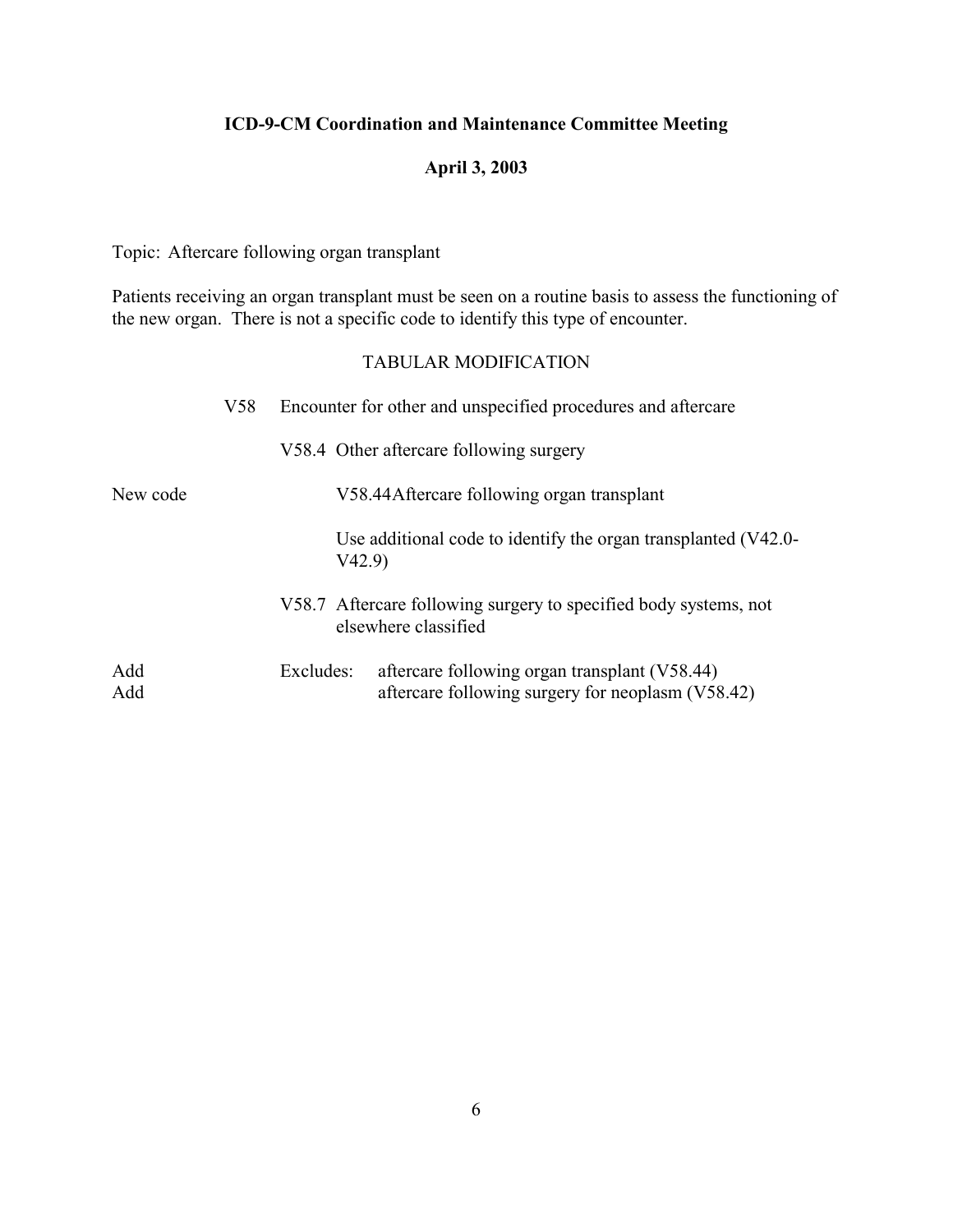## **April 3, 2003**

Topic: Aftercare following organ transplant

Patients receiving an organ transplant must be seen on a routine basis to assess the functioning of the new organ. There is not a specific code to identify this type of encounter.

|            | V <sub>58</sub> | Encounter for other and unspecified procedures and aftercare                                                    |
|------------|-----------------|-----------------------------------------------------------------------------------------------------------------|
|            |                 | V58.4 Other aftercare following surgery                                                                         |
| New code   |                 | V58.44 Aftercare following organ transplant                                                                     |
|            |                 | Use additional code to identify the organ transplanted (V42.0-<br>V42.9                                         |
|            |                 | V58.7 Aftercare following surgery to specified body systems, not<br>elsewhere classified                        |
| Add<br>Add |                 | aftercare following organ transplant (V58.44)<br>Excludes:<br>aftercare following surgery for neoplasm (V58.42) |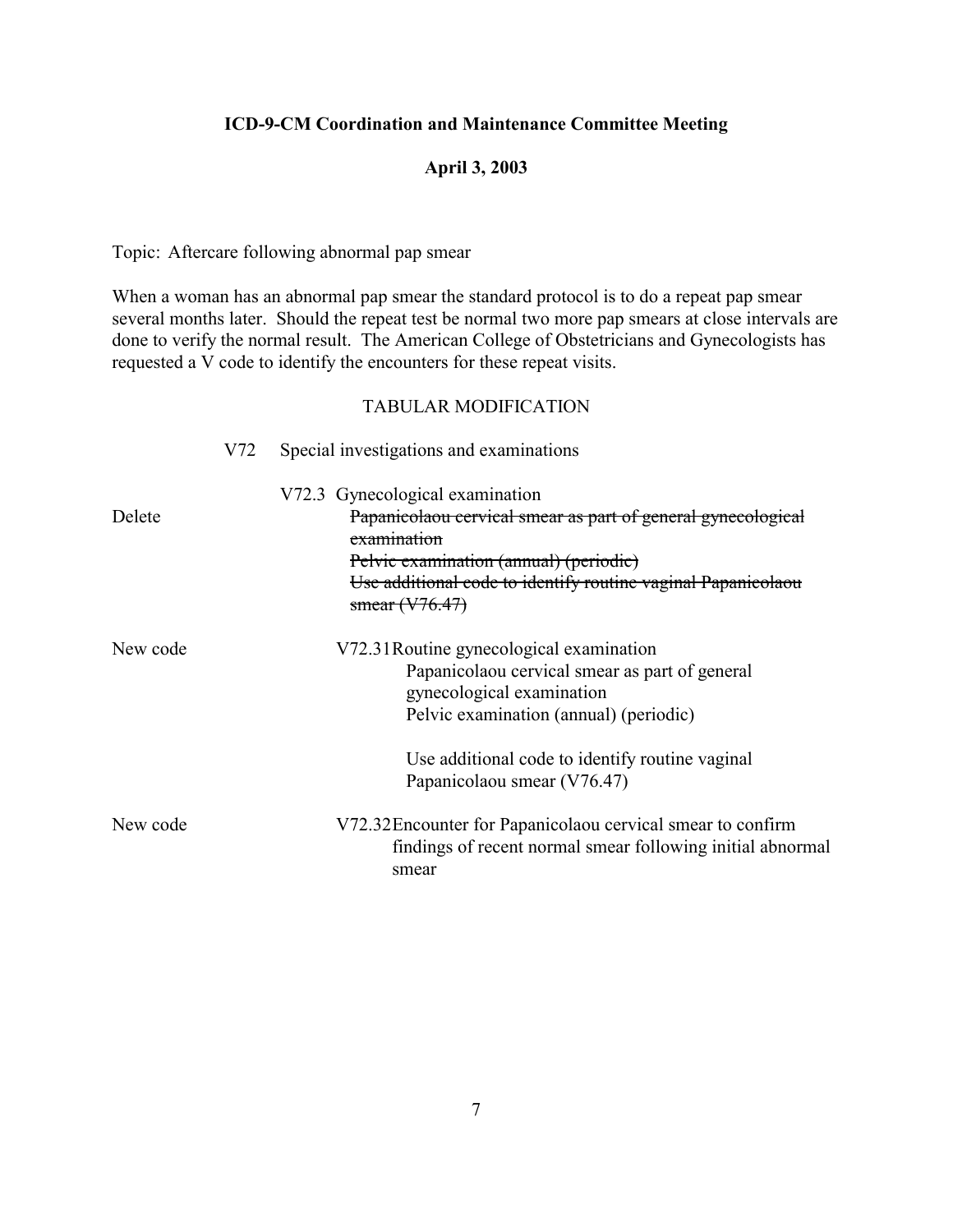#### **April 3, 2003**

Topic: Aftercare following abnormal pap smear

When a woman has an abnormal pap smear the standard protocol is to do a repeat pap smear several months later. Should the repeat test be normal two more pap smears at close intervals are done to verify the normal result. The American College of Obstetricians and Gynecologists has requested a V code to identify the encounters for these repeat visits.

|          | V72 | Special investigations and examinations                                                                                                                                                                                                    |
|----------|-----|--------------------------------------------------------------------------------------------------------------------------------------------------------------------------------------------------------------------------------------------|
| Delete   |     | V72.3 Gynecological examination<br>Papanicolaou cervical smear as part of general gynecological<br>examination<br>Pelvic examination (annual) (periodic)<br>Use additional code to identify routine vaginal Papanicolaou<br>smear (V76.47) |
| New code |     | V72.31 Routine gynecological examination<br>Papanicolaou cervical smear as part of general<br>gynecological examination<br>Pelvic examination (annual) (periodic)<br>Use additional code to identify routine vaginal                       |
| New code |     | Papanicolaou smear (V76.47)<br>V72.32 Encounter for Papanicolaou cervical smear to confirm<br>findings of recent normal smear following initial abnormal<br>smear                                                                          |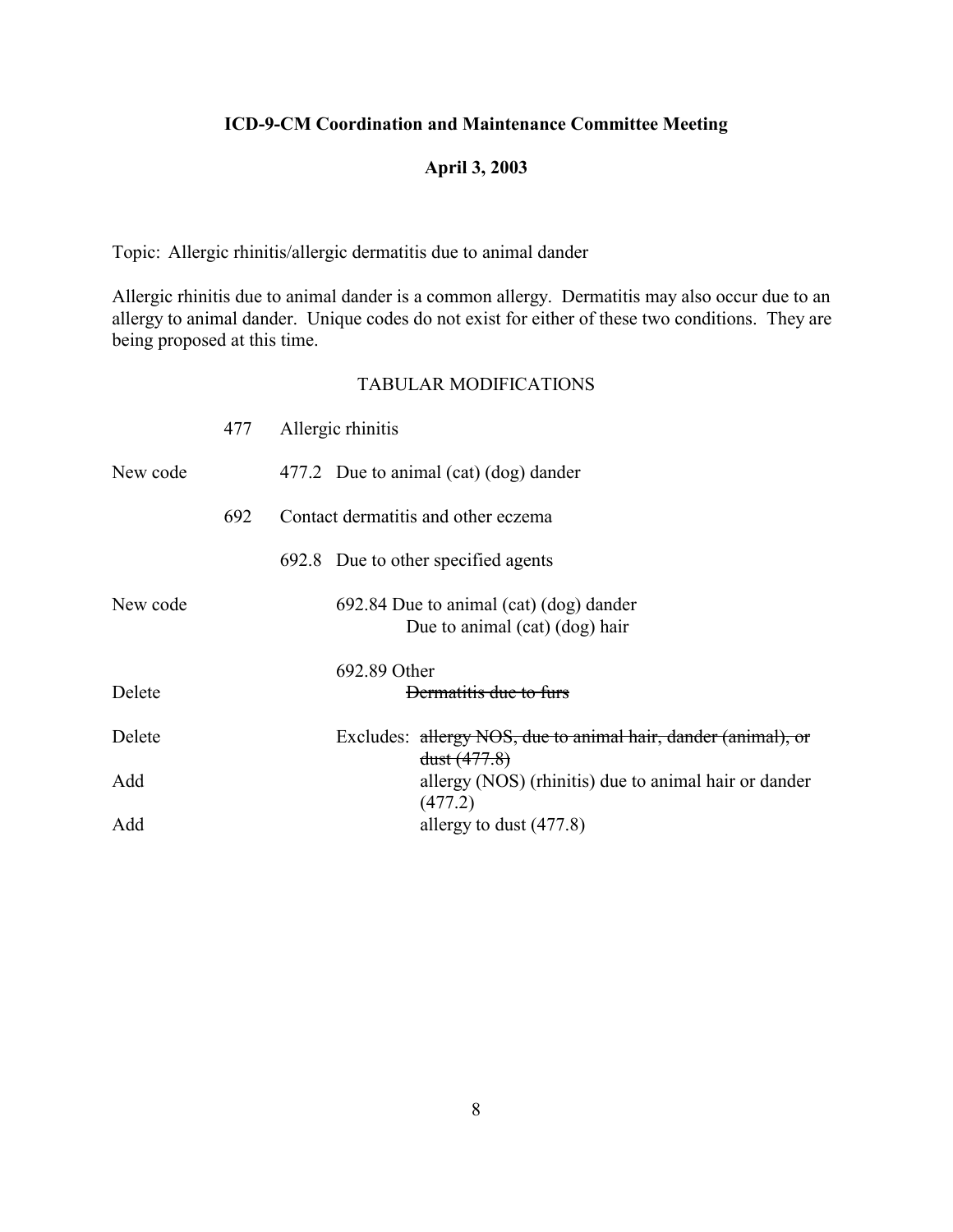## **April 3, 2003**

Topic: Allergic rhinitis/allergic dermatitis due to animal dander

Allergic rhinitis due to animal dander is a common allergy. Dermatitis may also occur due to an allergy to animal dander. Unique codes do not exist for either of these two conditions. They are being proposed at this time.

|          | 477 | Allergic rhinitis                                                              |
|----------|-----|--------------------------------------------------------------------------------|
| New code |     | 477.2 Due to animal (cat) (dog) dander                                         |
|          | 692 | Contact dermatitis and other eczema                                            |
|          |     | 692.8 Due to other specified agents                                            |
| New code |     | 692.84 Due to animal (cat) (dog) dander<br>Due to animal (cat) (dog) hair      |
|          |     | 692.89 Other                                                                   |
| Delete   |     | Dermatitis due to furs                                                         |
| Delete   |     | Excludes: allergy NOS, due to animal hair, dander (animal), or<br>dust (477.8) |
| Add      |     | allergy (NOS) (rhinitis) due to animal hair or dander<br>(477.2)               |
| Add      |     | allergy to dust (477.8)                                                        |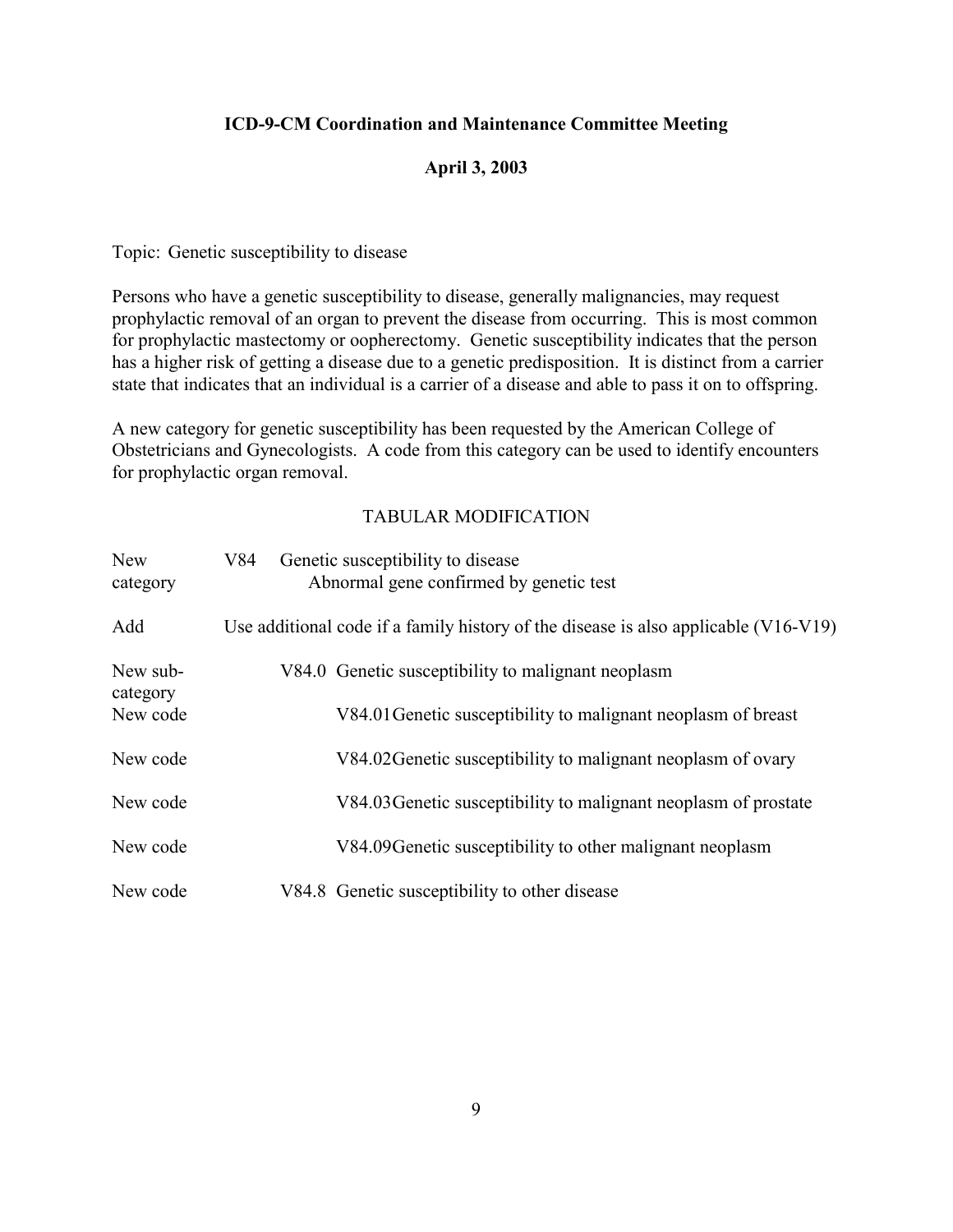### **April 3, 2003**

Topic: Genetic susceptibility to disease

Persons who have a genetic susceptibility to disease, generally malignancies, may request prophylactic removal of an organ to prevent the disease from occurring. This is most common for prophylactic mastectomy or oopherectomy. Genetic susceptibility indicates that the person has a higher risk of getting a disease due to a genetic predisposition. It is distinct from a carrier state that indicates that an individual is a carrier of a disease and able to pass it on to offspring.

A new category for genetic susceptibility has been requested by the American College of Obstetricians and Gynecologists. A code from this category can be used to identify encounters for prophylactic organ removal.

| <b>New</b><br>category | V84 | Genetic susceptibility to disease<br>Abnormal gene confirmed by genetic test        |
|------------------------|-----|-------------------------------------------------------------------------------------|
| Add                    |     | Use additional code if a family history of the disease is also applicable (V16-V19) |
| New sub-<br>category   |     | V84.0 Genetic susceptibility to malignant neoplasm                                  |
| New code               |     | V84.01 Genetic susceptibility to malignant neoplasm of breast                       |
| New code               |     | V84.02 Genetic susceptibility to malignant neoplasm of ovary                        |
| New code               |     | V84.03 Genetic susceptibility to malignant neoplasm of prostate                     |
| New code               |     | V84.09 Genetic susceptibility to other malignant neoplasm                           |
| New code               |     | V84.8 Genetic susceptibility to other disease                                       |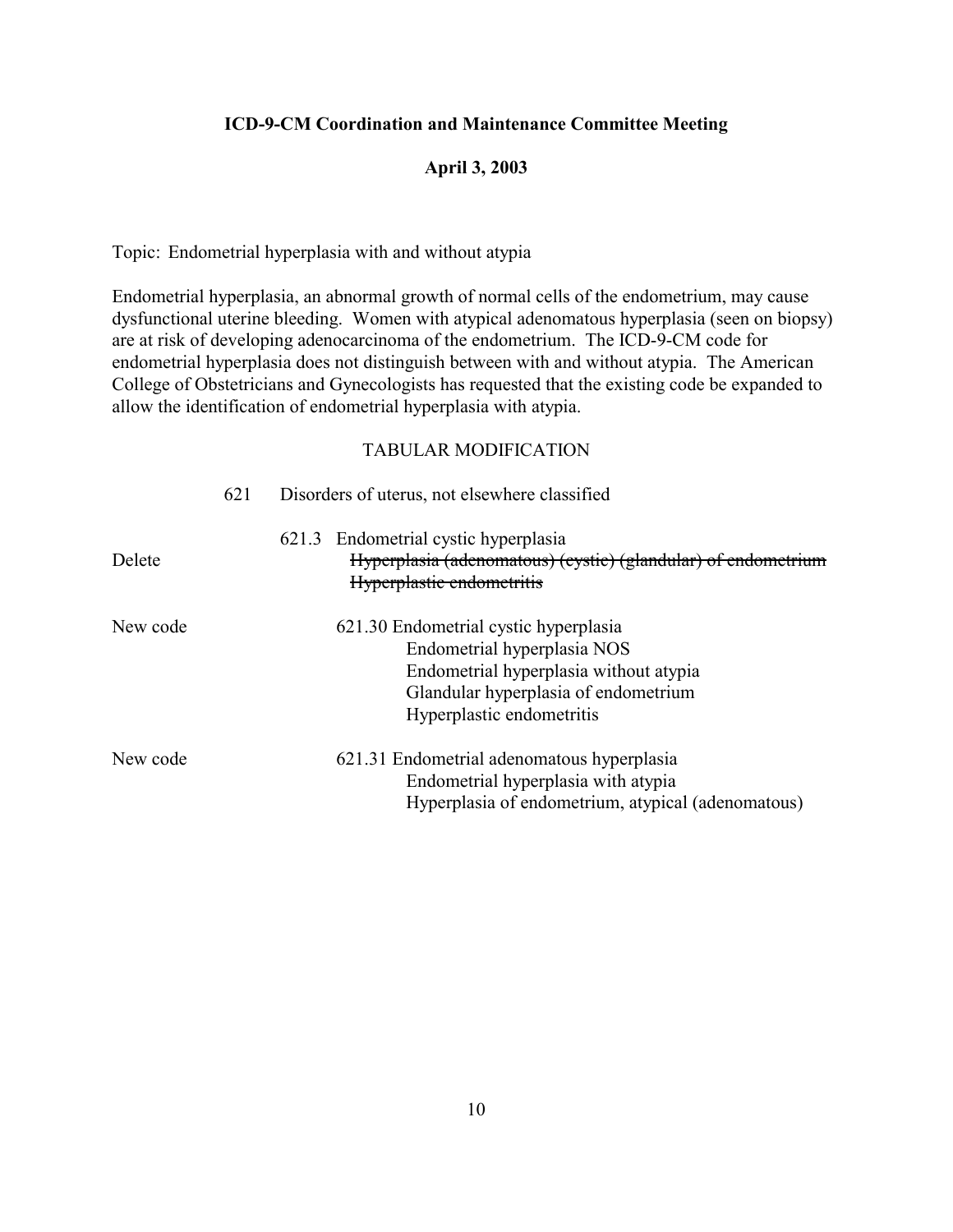### **April 3, 2003**

Topic: Endometrial hyperplasia with and without atypia

Endometrial hyperplasia, an abnormal growth of normal cells of the endometrium, may cause dysfunctional uterine bleeding. Women with atypical adenomatous hyperplasia (seen on biopsy) are at risk of developing adenocarcinoma of the endometrium. The ICD-9-CM code for endometrial hyperplasia does not distinguish between with and without atypia. The American College of Obstetricians and Gynecologists has requested that the existing code be expanded to allow the identification of endometrial hyperplasia with atypia.

|          | 621 | Disorders of uterus, not elsewhere classified                                                                                                                                       |
|----------|-----|-------------------------------------------------------------------------------------------------------------------------------------------------------------------------------------|
| Delete   |     | 621.3 Endometrial cystic hyperplasia<br>Hyperplasia (adenomatous) (cystic) (glandular) of endometrium<br>Hyperplastic endometritis                                                  |
| New code |     | 621.30 Endometrial cystic hyperplasia<br>Endometrial hyperplasia NOS<br>Endometrial hyperplasia without atypia<br>Glandular hyperplasia of endometrium<br>Hyperplastic endometritis |
| New code |     | 621.31 Endometrial adenomatous hyperplasia<br>Endometrial hyperplasia with atypia<br>Hyperplasia of endometrium, atypical (adenomatous)                                             |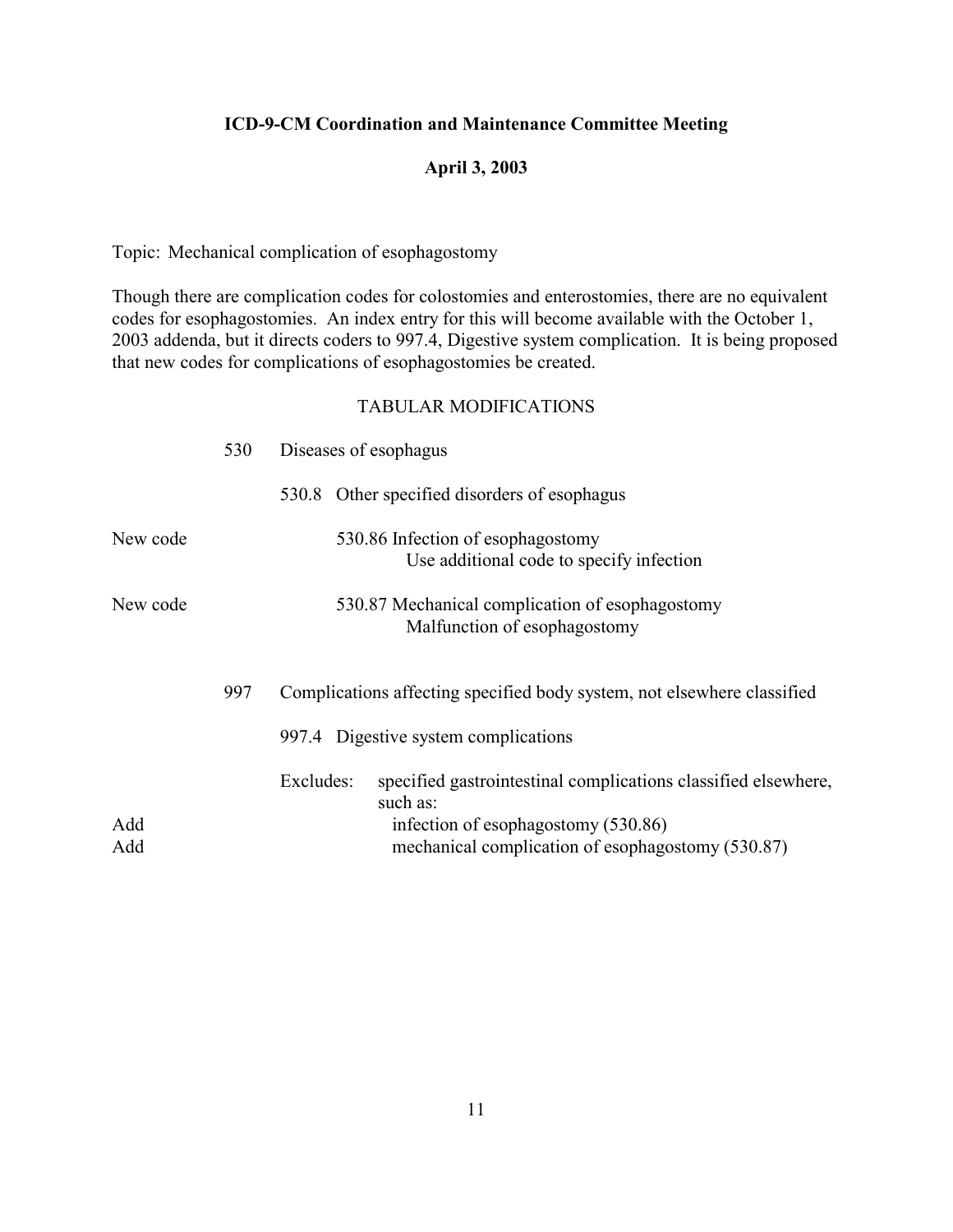### **April 3, 2003**

Topic: Mechanical complication of esophagostomy

Though there are complication codes for colostomies and enterostomies, there are no equivalent codes for esophagostomies. An index entry for this will become available with the October 1, 2003 addenda, but it directs coders to 997.4, Digestive system complication. It is being proposed that new codes for complications of esophagostomies be created.

| 530 | Diseases of esophagus                                                                                                                                                               |
|-----|-------------------------------------------------------------------------------------------------------------------------------------------------------------------------------------|
|     | 530.8 Other specified disorders of esophagus                                                                                                                                        |
|     | 530.86 Infection of esophagostomy<br>Use additional code to specify infection                                                                                                       |
|     | 530.87 Mechanical complication of esophagostomy<br>Malfunction of esophagostomy                                                                                                     |
| 997 | Complications affecting specified body system, not elsewhere classified                                                                                                             |
|     | 997.4 Digestive system complications                                                                                                                                                |
|     | Excludes:<br>specified gastrointestinal complications classified elsewhere,<br>such as:<br>infection of esophagostomy (530.86)<br>mechanical complication of esophagostomy (530.87) |
|     |                                                                                                                                                                                     |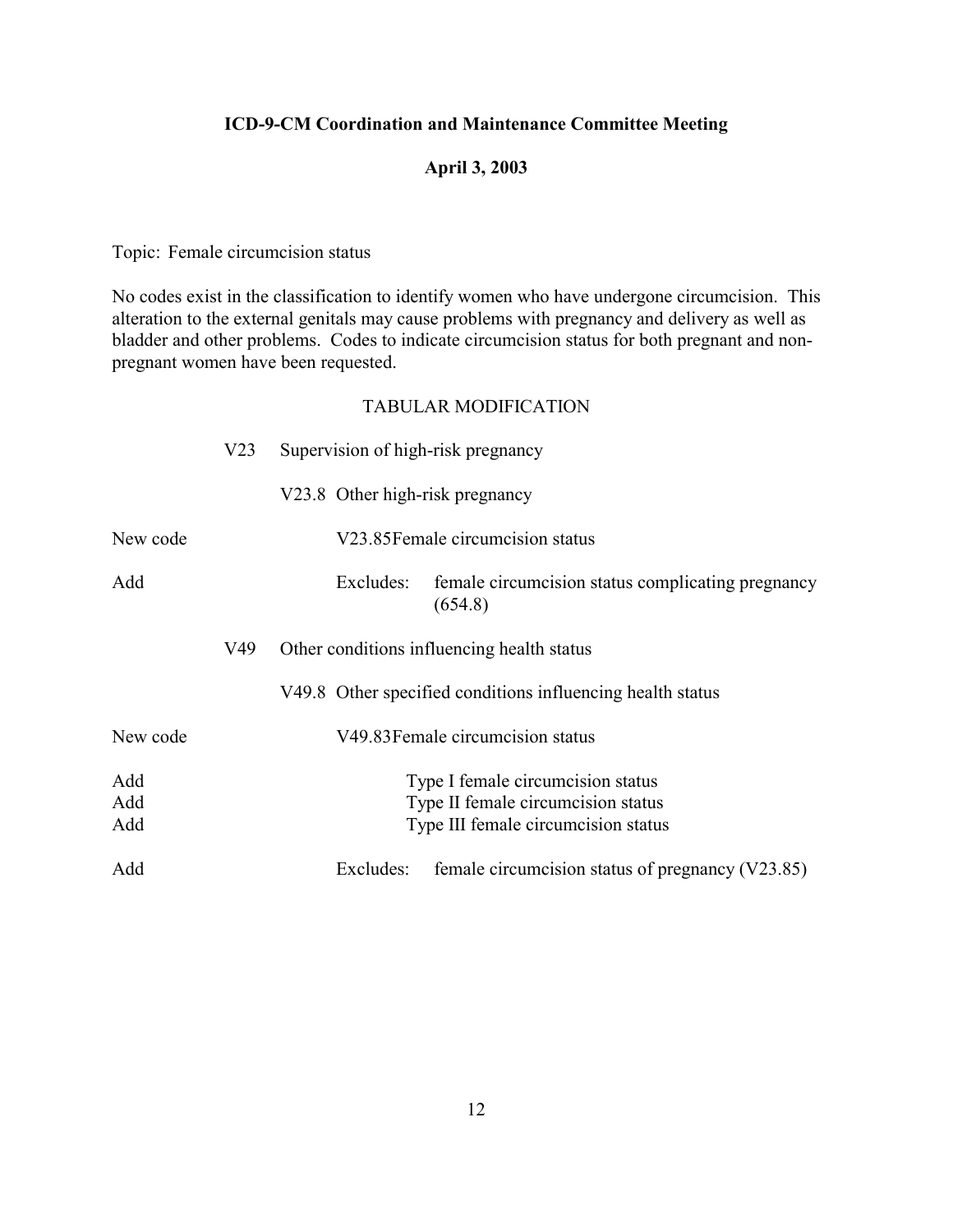## **April 3, 2003**

Topic: Female circumcision status

No codes exist in the classification to identify women who have undergone circumcision. This alteration to the external genitals may cause problems with pregnancy and delivery as well as bladder and other problems. Codes to indicate circumcision status for both pregnant and nonpregnant women have been requested.

|          | V <sub>23</sub> | Supervision of high-risk pregnancy                                        |
|----------|-----------------|---------------------------------------------------------------------------|
|          |                 | V23.8 Other high-risk pregnancy                                           |
| New code |                 | V23.85 Female circumcision status                                         |
| Add      |                 | female circumcision status complicating pregnancy<br>Excludes:<br>(654.8) |
|          | V49             | Other conditions influencing health status                                |
|          |                 | V49.8 Other specified conditions influencing health status                |
| New code |                 | V49.83 Female circumcision status                                         |
| Add      |                 | Type I female circumcision status                                         |
| Add      |                 | Type II female circumcision status                                        |
| Add      |                 | Type III female circumcision status                                       |
| Add      |                 | female circumcision status of pregnancy (V23.85)<br>Excludes:             |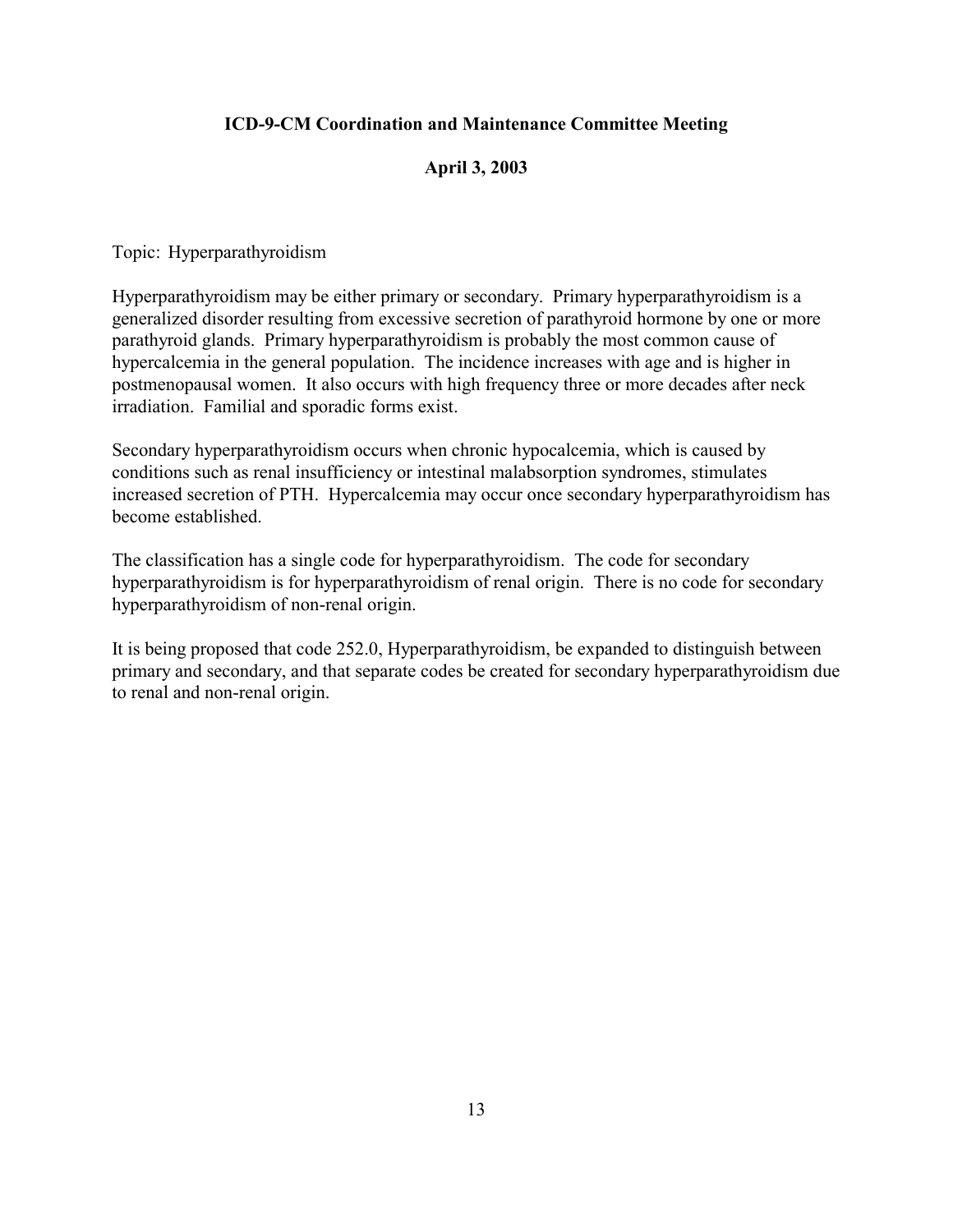## **April 3, 2003**

Topic: Hyperparathyroidism

Hyperparathyroidism may be either primary or secondary. Primary hyperparathyroidism is a generalized disorder resulting from excessive secretion of parathyroid hormone by one or more parathyroid glands. Primary hyperparathyroidism is probably the most common cause of hypercalcemia in the general population. The incidence increases with age and is higher in postmenopausal women. It also occurs with high frequency three or more decades after neck irradiation. Familial and sporadic forms exist.

Secondary hyperparathyroidism occurs when chronic hypocalcemia, which is caused by conditions such as renal insufficiency or intestinal malabsorption syndromes, stimulates increased secretion of PTH. Hypercalcemia may occur once secondary hyperparathyroidism has become established.

The classification has a single code for hyperparathyroidism. The code for secondary hyperparathyroidism is for hyperparathyroidism of renal origin. There is no code for secondary hyperparathyroidism of non-renal origin.

It is being proposed that code 252.0, Hyperparathyroidism, be expanded to distinguish between primary and secondary, and that separate codes be created for secondary hyperparathyroidism due to renal and non-renal origin.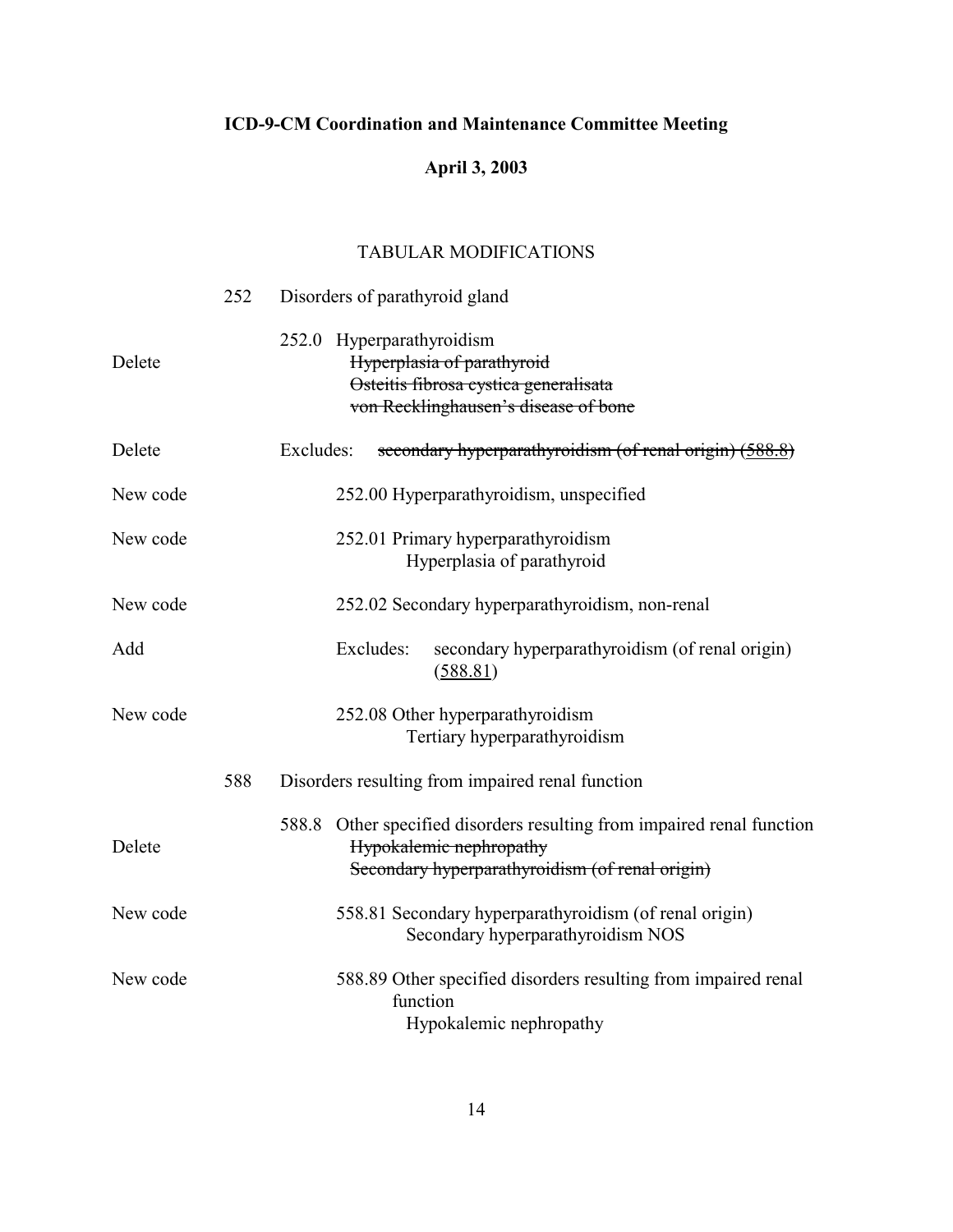# **April 3, 2003**

|          | 252 | Disorders of parathyroid gland                                                                                                                       |
|----------|-----|------------------------------------------------------------------------------------------------------------------------------------------------------|
| Delete   |     | 252.0 Hyperparathyroidism<br>Hyperplasia of parathyroid<br>Osteitis fibrosa cystica generalisata<br>von Recklinghausen's disease of bone             |
| Delete   |     | Excludes:<br>secondary hyperparathyroidism (of renal origin) (588.8)                                                                                 |
| New code |     | 252.00 Hyperparathyroidism, unspecified                                                                                                              |
| New code |     | 252.01 Primary hyperparathyroidism<br>Hyperplasia of parathyroid                                                                                     |
| New code |     | 252.02 Secondary hyperparathyroidism, non-renal                                                                                                      |
| Add      |     | Excludes:<br>secondary hyperparathyroidism (of renal origin)<br>(588.81)                                                                             |
| New code |     | 252.08 Other hyperparathyroidism<br>Tertiary hyperparathyroidism                                                                                     |
|          | 588 | Disorders resulting from impaired renal function                                                                                                     |
| Delete   |     | 588.8 Other specified disorders resulting from impaired renal function<br>Hypokalemic nephropathy<br>Secondary hyperparathyroidism (of renal origin) |
| New code |     | 558.81 Secondary hyperparathyroidism (of renal origin)<br>Secondary hyperparathyroidism NOS                                                          |
| New code |     | 588.89 Other specified disorders resulting from impaired renal<br>function<br>Hypokalemic nephropathy                                                |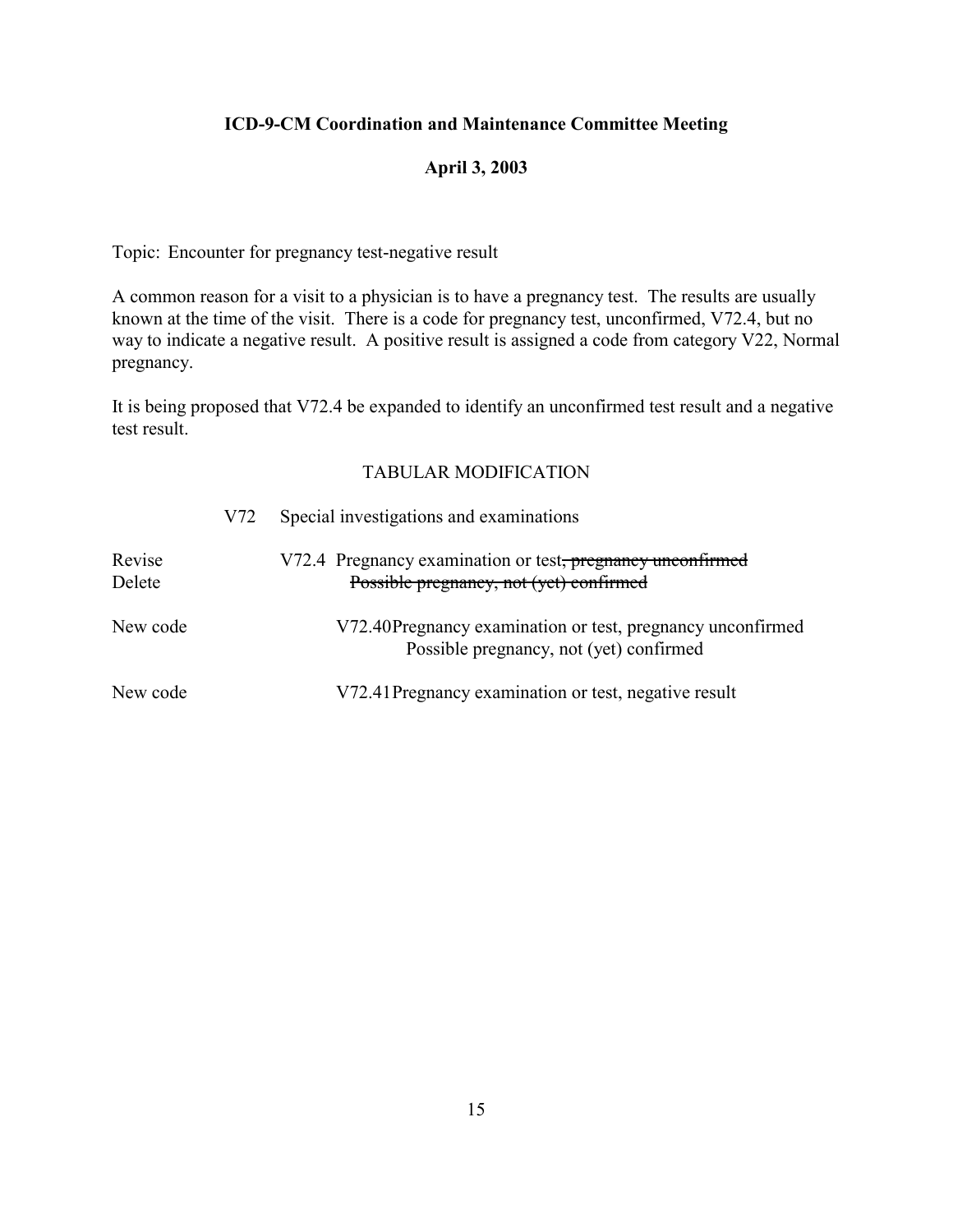## **April 3, 2003**

Topic: Encounter for pregnancy test-negative result

A common reason for a visit to a physician is to have a pregnancy test. The results are usually known at the time of the visit. There is a code for pregnancy test, unconfirmed, V72.4, but no way to indicate a negative result. A positive result is assigned a code from category V22, Normal pregnancy.

It is being proposed that V72.4 be expanded to identify an unconfirmed test result and a negative test result.

|                  | V72 | Special investigations and examinations                                                               |
|------------------|-----|-------------------------------------------------------------------------------------------------------|
| Revise<br>Delete |     | V72.4 Pregnancy examination or test, pregnancy unconfirmed<br>Possible pregnancy, not (yet) confirmed |
| New code         |     | V72.40Pregnancy examination or test, pregnancy unconfirmed<br>Possible pregnancy, not (yet) confirmed |
| New code         |     | V72.41 Pregnancy examination or test, negative result                                                 |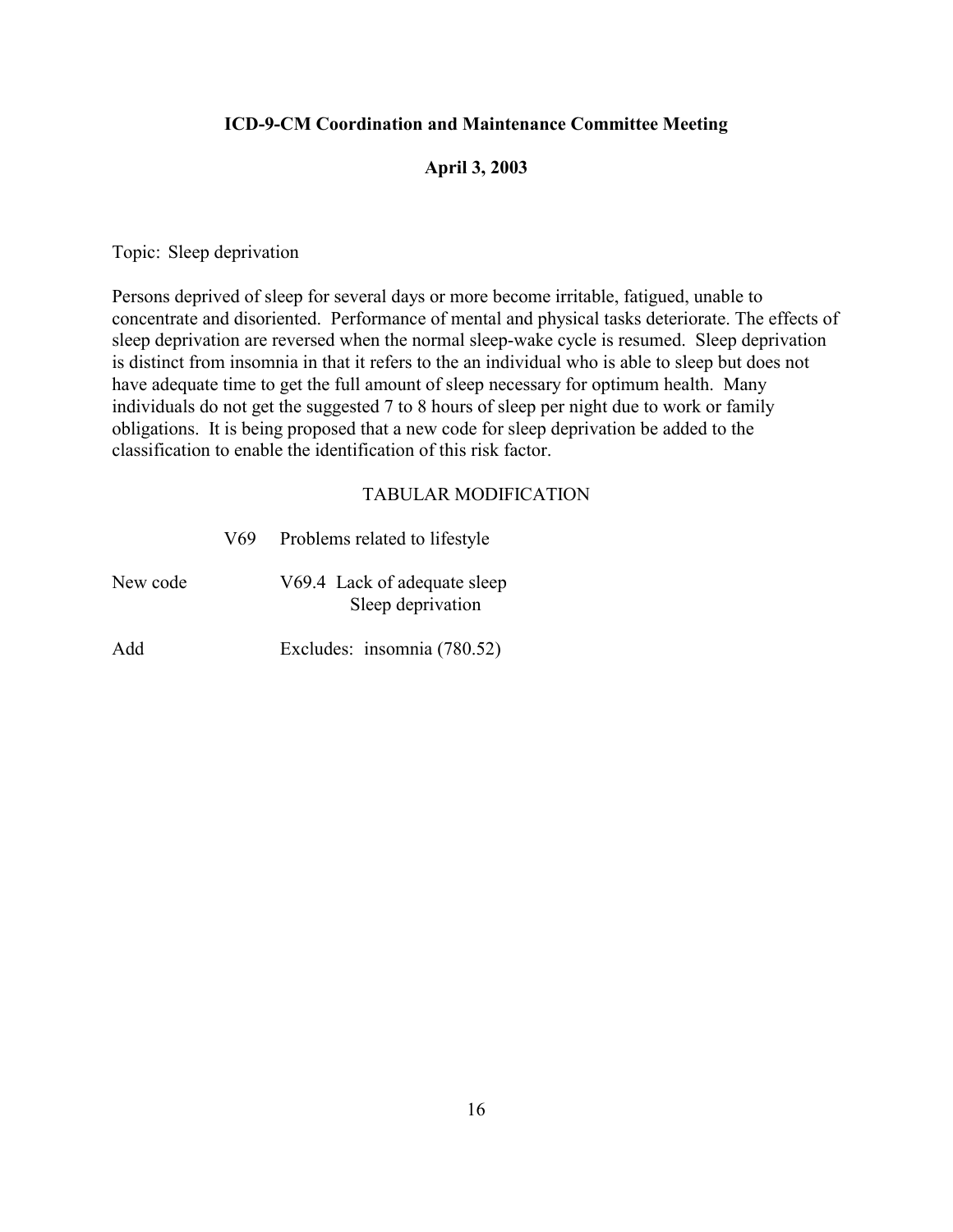#### **April 3, 2003**

Topic: Sleep deprivation

Persons deprived of sleep for several days or more become irritable, fatigued, unable to concentrate and disoriented. Performance of mental and physical tasks deteriorate. The effects of sleep deprivation are reversed when the normal sleep-wake cycle is resumed. Sleep deprivation is distinct from insomnia in that it refers to the an individual who is able to sleep but does not have adequate time to get the full amount of sleep necessary for optimum health. Many individuals do not get the suggested 7 to 8 hours of sleep per night due to work or family obligations. It is being proposed that a new code for sleep deprivation be added to the classification to enable the identification of this risk factor.

|          | V69 | Problems related to lifestyle                     |
|----------|-----|---------------------------------------------------|
| New code |     | V69.4 Lack of adequate sleep<br>Sleep deprivation |
| Add      |     | Excludes: insomnia (780.52)                       |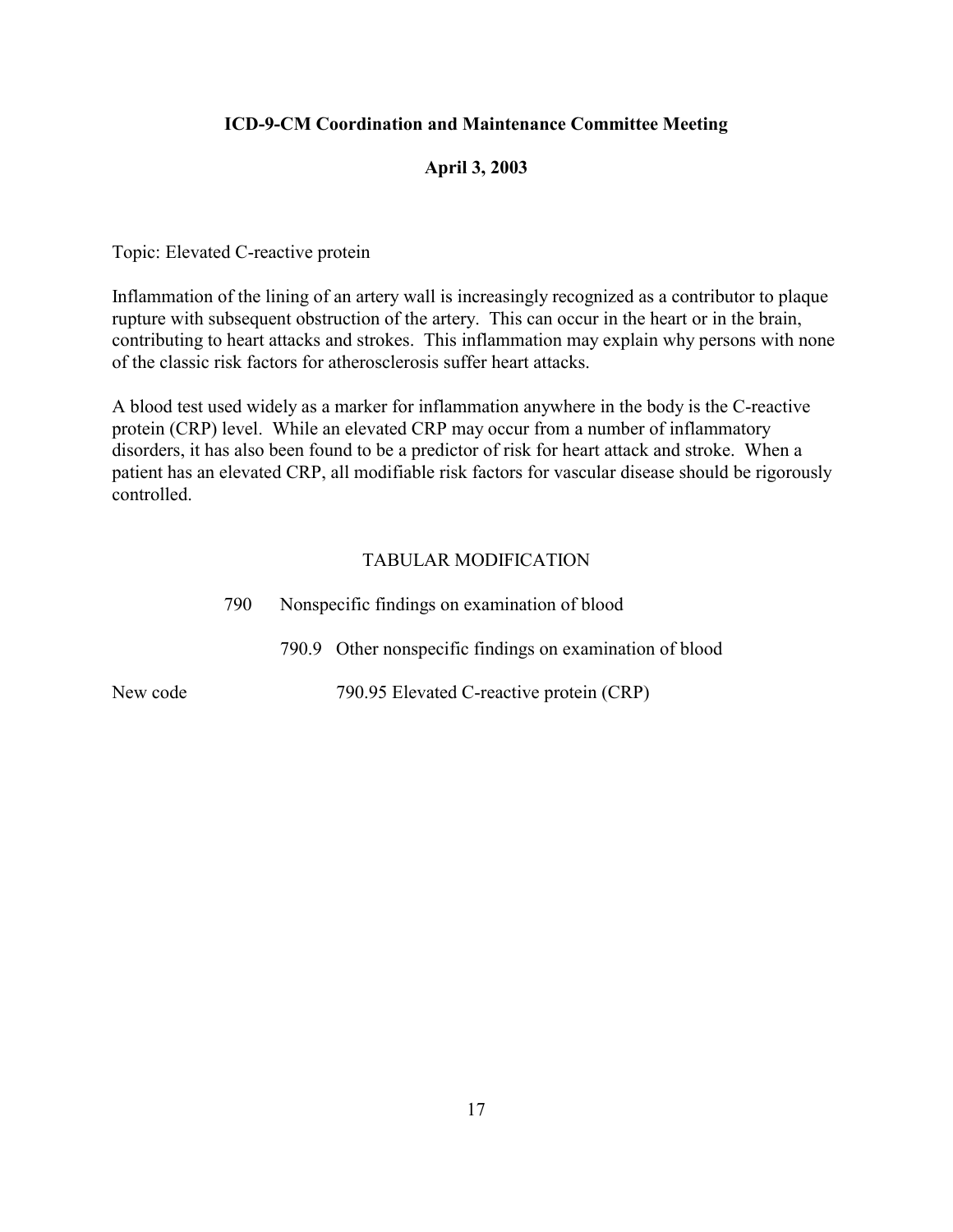## **April 3, 2003**

Topic: Elevated C-reactive protein

Inflammation of the lining of an artery wall is increasingly recognized as a contributor to plaque rupture with subsequent obstruction of the artery. This can occur in the heart or in the brain, contributing to heart attacks and strokes. This inflammation may explain why persons with none of the classic risk factors for atherosclerosis suffer heart attacks.

A blood test used widely as a marker for inflammation anywhere in the body is the C-reactive protein (CRP) level. While an elevated CRP may occur from a number of inflammatory disorders, it has also been found to be a predictor of risk for heart attack and stroke. When a patient has an elevated CRP, all modifiable risk factors for vascular disease should be rigorously controlled.

|          | 790 | Nonspecific findings on examination of blood |                                                          |  |
|----------|-----|----------------------------------------------|----------------------------------------------------------|--|
|          |     |                                              | 790.9 Other nonspecific findings on examination of blood |  |
| New code |     |                                              | 790.95 Elevated C-reactive protein (CRP)                 |  |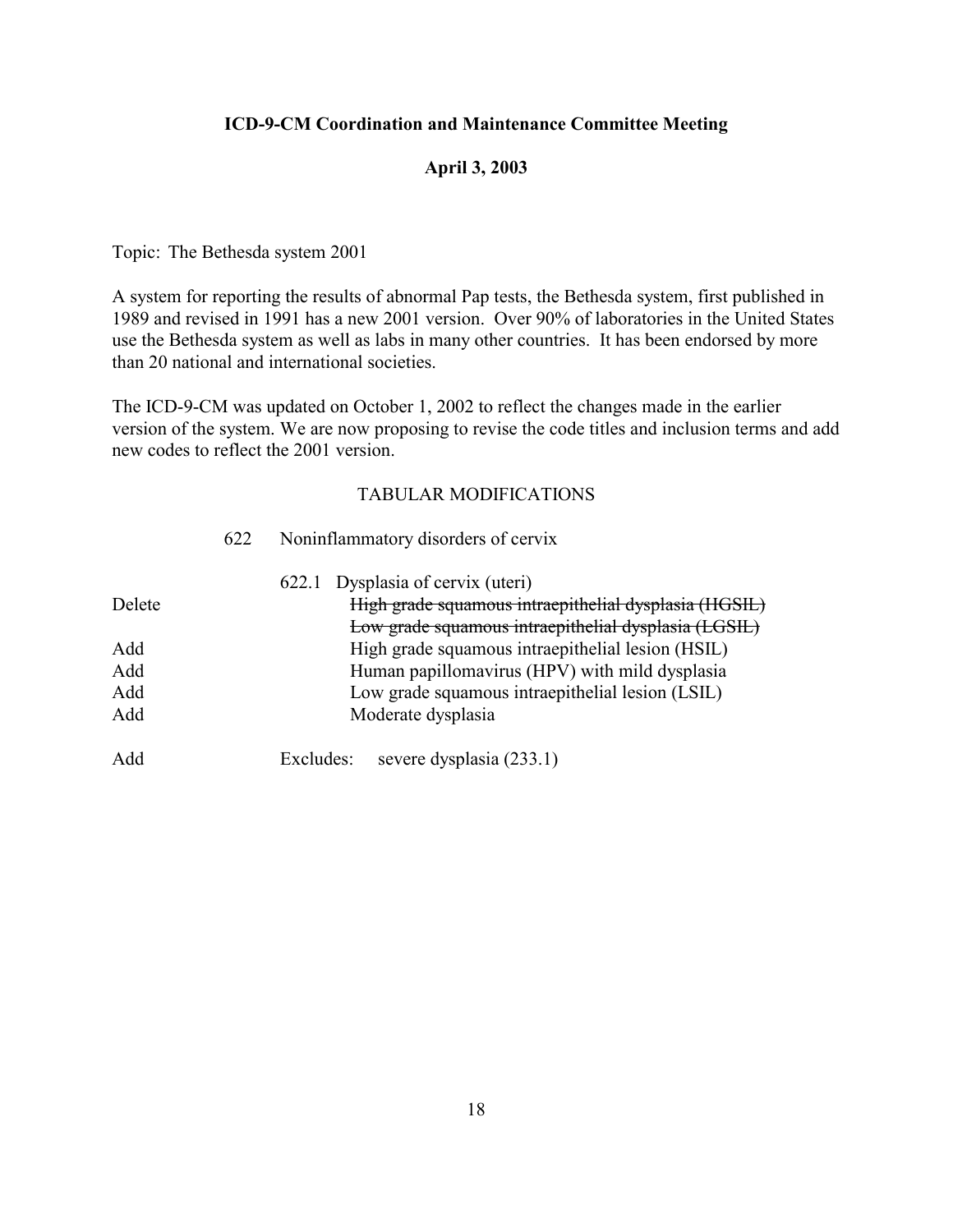## **April 3, 2003**

Topic: The Bethesda system 2001

A system for reporting the results of abnormal Pap tests, the Bethesda system, first published in 1989 and revised in 1991 has a new 2001 version. Over 90% of laboratories in the United States use the Bethesda system as well as labs in many other countries. It has been endorsed by more than 20 national and international societies.

The ICD-9-CM was updated on October 1, 2002 to reflect the changes made in the earlier version of the system. We are now proposing to revise the code titles and inclusion terms and add new codes to reflect the 2001 version.

|                          | 622 | Noninflammatory disorders of cervix                                                                                                                                           |
|--------------------------|-----|-------------------------------------------------------------------------------------------------------------------------------------------------------------------------------|
| Delete                   |     | 622.1 Dysplasia of cervix (uteri)<br>High grade squamous intraepithelial dysplasia (HGSIL)<br>Low grade squamous intraepithelial dysplasia (LGSIL)                            |
| Add<br>Add<br>Add<br>Add |     | High grade squamous intraepithelial lesion (HSIL)<br>Human papillomavirus (HPV) with mild dysplasia<br>Low grade squamous intraepithelial lesion (LSIL)<br>Moderate dysplasia |
| Add                      |     | severe dysplasia (233.1)<br>Excludes:                                                                                                                                         |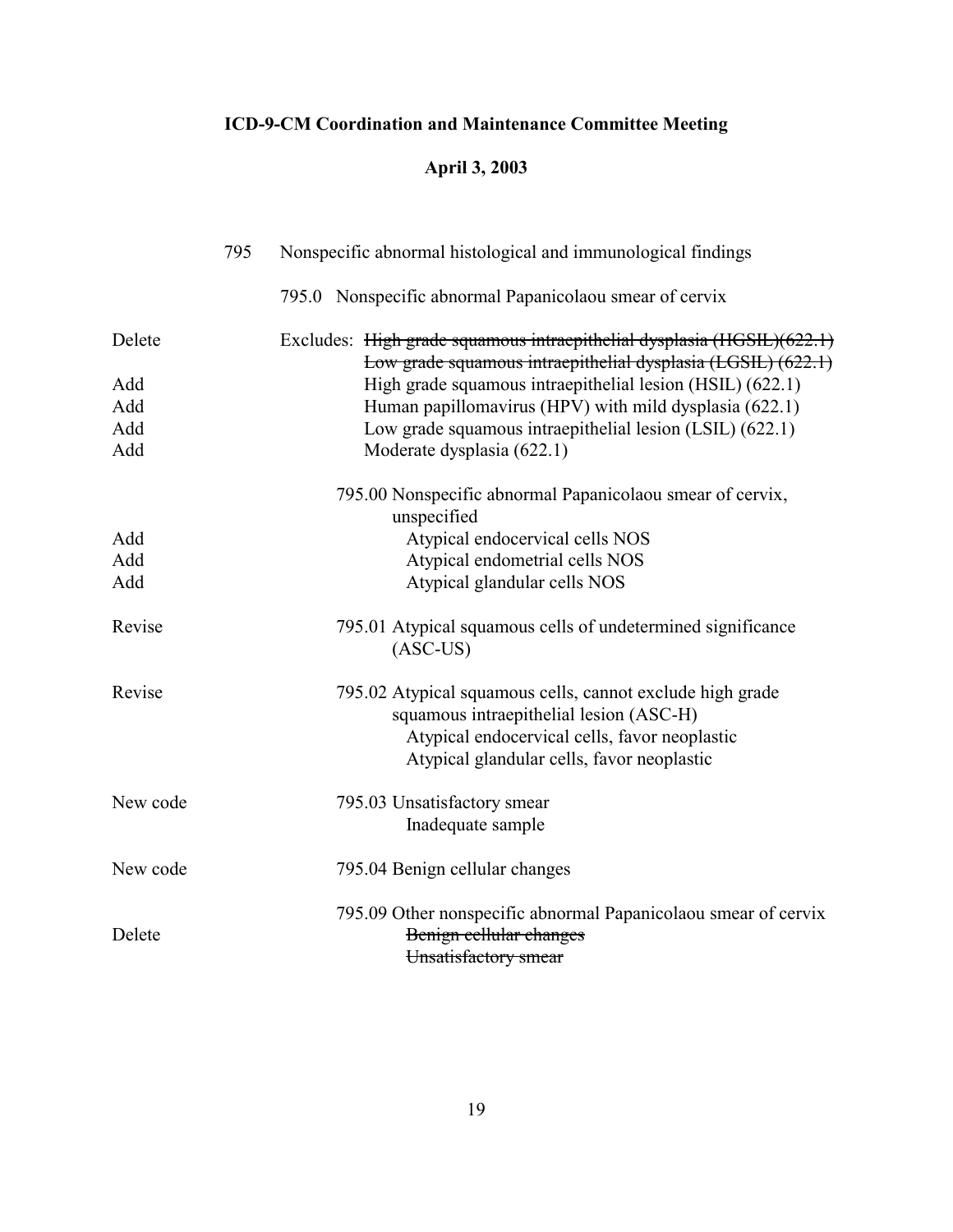# **April 3, 2003**

|          | 795 | Nonspecific abnormal histological and immunological findings                                                                                                                                        |
|----------|-----|-----------------------------------------------------------------------------------------------------------------------------------------------------------------------------------------------------|
|          |     | 795.0 Nonspecific abnormal Papanicolaou smear of cervix                                                                                                                                             |
| Delete   |     | Excludes: High grade squamous intraepithelial dysplasia (HGSIL)(622.1)                                                                                                                              |
| Add      |     | Low grade squamous intraepithelial dysplasia (LGSIL) (622.1)<br>High grade squamous intraepithelial lesion (HSIL) (622.1)                                                                           |
| Add      |     | Human papillomavirus (HPV) with mild dysplasia (622.1)                                                                                                                                              |
| Add      |     | Low grade squamous intraepithelial lesion (LSIL) (622.1)                                                                                                                                            |
| Add      |     | Moderate dysplasia (622.1)                                                                                                                                                                          |
|          |     | 795.00 Nonspecific abnormal Papanicolaou smear of cervix,<br>unspecified                                                                                                                            |
| Add      |     | Atypical endocervical cells NOS                                                                                                                                                                     |
| Add      |     | Atypical endometrial cells NOS                                                                                                                                                                      |
| Add      |     | Atypical glandular cells NOS                                                                                                                                                                        |
| Revise   |     | 795.01 Atypical squamous cells of undetermined significance<br>$(ASC-US)$                                                                                                                           |
| Revise   |     | 795.02 Atypical squamous cells, cannot exclude high grade<br>squamous intraepithelial lesion (ASC-H)<br>Atypical endocervical cells, favor neoplastic<br>Atypical glandular cells, favor neoplastic |
| New code |     | 795.03 Unsatisfactory smear<br>Inadequate sample                                                                                                                                                    |
| New code |     | 795.04 Benign cellular changes                                                                                                                                                                      |
| Delete   |     | 795.09 Other nonspecific abnormal Papanicolaou smear of cervix<br>Benign cellular changes                                                                                                           |
|          |     | Unsatisfactory smear                                                                                                                                                                                |